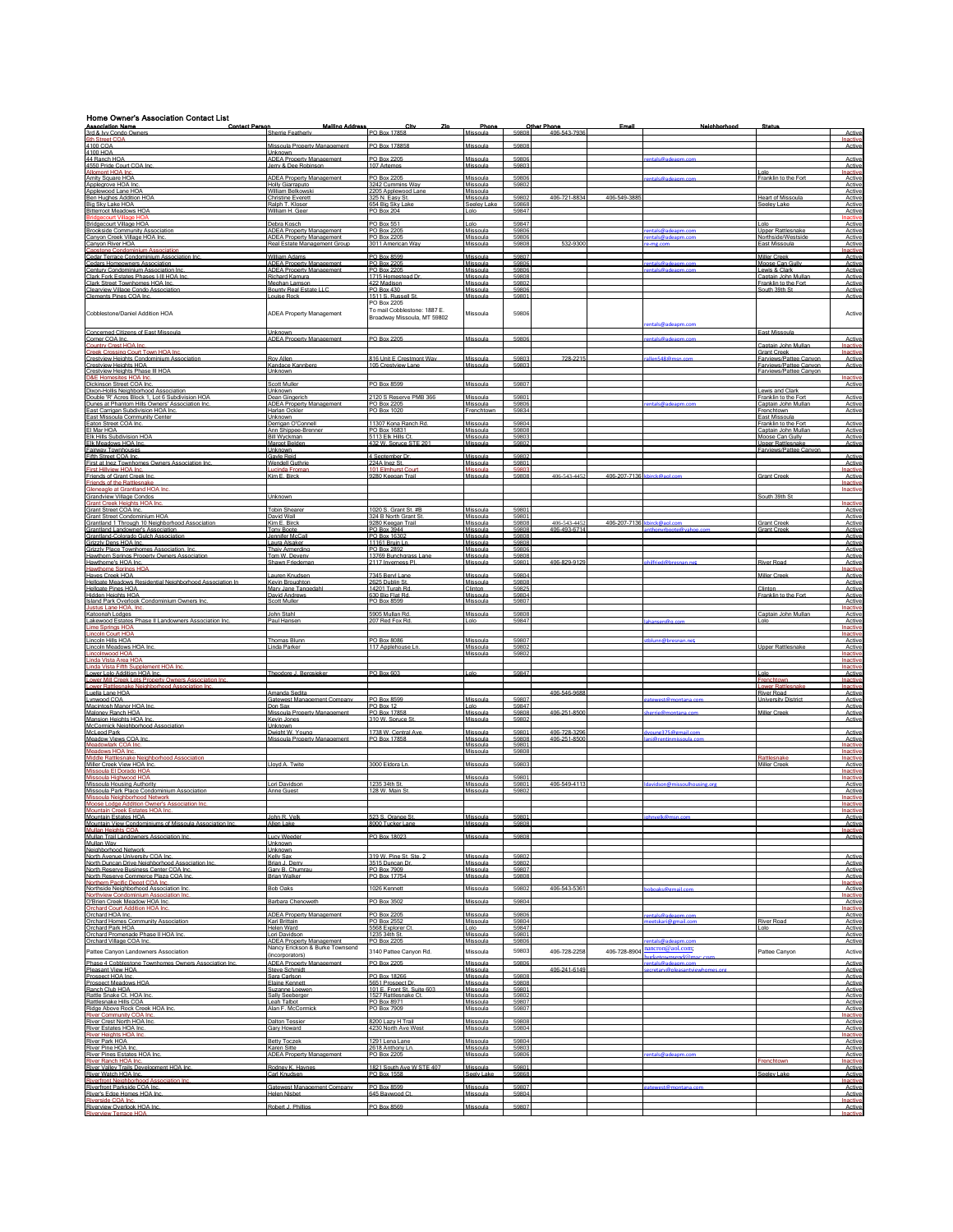| <b>Home Owner's Association Contact List</b><br><b>Association Name</b><br>3rd & Ivy Condo Owners                                           | <b>Malling Address</b><br>t<br>Contact Person<br>Sherrie Featherly                                 | City<br>Zn.<br>PO Box 17858                                 | Phone<br>Missoula                | 59808                   | Other Phone<br>406-543-7936 | Email                       | Neighborhood                                 | Status                                                             | Active                           |
|---------------------------------------------------------------------------------------------------------------------------------------------|----------------------------------------------------------------------------------------------------|-------------------------------------------------------------|----------------------------------|-------------------------|-----------------------------|-----------------------------|----------------------------------------------|--------------------------------------------------------------------|----------------------------------|
| <b>6th Street COA</b><br>4100 COA                                                                                                           | Missoula Property Management                                                                       | PO Box 178858                                               | Missoula                         | 59808                   |                             |                             |                                              |                                                                    | Inactive<br>Active               |
| 4100 HOA<br>44 Ranch HOA<br>4550 Pride Court COA Inc                                                                                        | Unknown<br><b>ADEA Property Management</b>                                                         | PO Box 2205                                                 | Missoula<br>Missoula             | 59806<br>5980           |                             |                             |                                              |                                                                    | Active                           |
| Allomont HOA Inc<br>Amity Square HOA                                                                                                        | Jerry & Dee Robinson<br><b>ADEA Property Management</b>                                            | 107 Artemos<br>PO Box 2205                                  | Missoula                         | 59806                   |                             |                             | ntalc@ade                                    | olo<br>Franklin to the Fort                                        | Active<br>Inactiv<br>Active      |
| Applegrove HOA Inc<br>Applewood Lane HOA                                                                                                    | Holly Giarraputo<br>William Belkowski                                                              | 3242 Cummins Wav<br>2205 Applewood Lane                     | Missoula<br>Missoula             | 59802                   |                             |                             |                                              |                                                                    | Active<br>Active                 |
| Ben Hughes Addition HOA<br>Big Sky Lake HOA<br><b>Bitterroot Meadows HOA</b>                                                                | Christine Everett<br>Ralph T. Kloser<br>William H. Geer                                            | 325 N. Easy St.<br>654 Big Sky Lake<br><b>PO Box 204</b>    | Missoula<br>Seeley Lake<br>Lolo  | 59802<br>59868<br>59847 | 406-721-883-                | 406-549-38                  |                                              | <b>Heart of Missoula</b><br>Seelev Lake                            | Active<br>Active<br>Active       |
| ourt Village H<br>Bridgecourt Village HOA                                                                                                   | Debra Kosch                                                                                        | PO Box 551                                                  | Lolo                             | 59847                   |                             |                             |                                              | Lolo                                                               | Inactive<br>Active               |
| <b>Brookside Community Association</b><br>Canvon Creek Village HOA Inc.<br>Canvon River HOA                                                 | <b>ADEA Property Management</b><br><b>ADEA Property Management</b><br>Real Estate Management Group | PO Box 2205<br>PO Box 2205<br>3011 American Wav             | Missoula<br>Missoula<br>Missoula | 59806<br>59806<br>5980  | 532-9300                    |                             | entals@adeanm.cor<br>ntals@a                 | <b>Unner Rattlesnake</b><br>Northside/Westside<br>East Missoula    | Active<br>Active<br>Active       |
| Capstone Condominium Associatio<br>Cedar Terrace Condominium Association Inc.                                                               | William Adams                                                                                      | <sup>2</sup> O Box 8599                                     | Missoula                         | 59807                   |                             |                             |                                              | <b>Miller Creek</b>                                                | Inactive<br>Active               |
| Cedars Homeowners Association<br>Century Condominium Association Inc.<br>Clark Fork Estates Phases I-III HOA Inc                            | <b>ADEA Property Management</b><br><b>ADEA Property Management</b><br><b>Richard Kamura</b>        | PO Box 2205<br>PO Box 2205<br>1715 Homestead Dr.            | Missoula<br>Missoula<br>Missoula | 59806<br>59806<br>59808 |                             |                             | entals@adea                                  | Moose Can Gulb<br>Lewis & Clark<br>Captain John Mullar             | Active<br>Active<br>Active       |
| Clark Street Townhomes HOA Inc.<br>Clearview Village Condo Association                                                                      | Meghan Lamson<br>Bounty Real Estate LLC                                                            | 422 Madison<br>PO Box 430                                   | Missoula<br>Missoula             | 59802<br>59806          |                             |                             |                                              | Franklin to the Fort<br>South 39th St                              | Active<br>Active                 |
| Clements Pines COA Inc.                                                                                                                     | ouise Rock                                                                                         | 1511 S. Russell St<br>PO Box 2205                           | Missoula                         | 59801                   |                             |                             |                                              |                                                                    | Active                           |
| Cobblestone/Daniel Addition HOA                                                                                                             | ADEA Property Management                                                                           | To mail Cobblestone: 1887 E.<br>Broadway Missoula, MT 59802 | Missoula                         | 59806                   |                             |                             | entals@adeapm.com                            |                                                                    | Active                           |
| Concerned Citizens of East Missoula<br>Corner COA Inc.                                                                                      | <b>Unknown</b><br><b>ADEA Property Management</b>                                                  | PO Box 2205                                                 | Missoula                         | 59806                   |                             |                             |                                              | <b>East Missoula</b>                                               | Active                           |
| Country Crest HOA Inc<br>Creek Crossing Court Town HOA Inc.<br>Crestview Heights Condominium Association                                    | Roy Allen                                                                                          | 816 Unit E Crestmont Way                                    | Missoula                         | 5980                    | 728-2215                    |                             |                                              | Captain John Mullan<br><b>Grant Creek</b><br>arviews/Pattee Canyon | Inactive<br>Inactive             |
| Crestview Heights HOA<br>Crestview Heights Phase III HOA                                                                                    | Kandace Kannberg<br>Jnknown                                                                        | 105 Crestview Lane                                          | Missoula                         | 59803                   |                             |                             |                                              | Farviews/Pattee Canvon<br>Farviews/Pattee Canvon                   | Active<br>Active                 |
| Dickinson Street COA Inc.                                                                                                                   | Scott Mulle                                                                                        | PO Box 8599                                                 | Missoula                         | 5980                    |                             |                             |                                              |                                                                    | Inactive<br>Active               |
| Dixon-Hollis Neighborhood Association<br>Double 'R' Acres Block 1. Lot 6 Subdivision HOA<br>Dunes at Phantom Hills Owners' Association Inc. | <b>Linknown</b><br>Dean Gingerich<br>ADEA Property Management                                      | 2120 S Reserve PMB 366<br>PO Box 2205                       | Missoula<br>Missoula             | 59801<br>59806          |                             |                             |                                              | ewis and Clark<br>Franklin to the Fort<br>Captain John Mullar      | Active<br>Active                 |
| East Carrigan Subdivision HOA Inc.<br>East Missoula Community Center                                                                        | Harlan Ockler<br>Unknown                                                                           | PO Box 1020                                                 | Frenchtown                       | 59834                   |                             |                             |                                              | Frenchtown<br>East Missoula                                        | Active                           |
| Faton Street COA Inc.<br>El Mar HOA<br>Elk Hills Subdivision HOA                                                                            | Derrigan O'Connel<br>Ann Shippee-Brenner<br><b>Bill Wyckman</b>                                    | 11307 Kona Ranch Rd<br>PO Box 16831<br>5113 Elk Hills C     | Missoula<br>Missoula<br>Missoula | 59804<br>59808<br>59803 |                             |                             |                                              | Franklin to the Fo<br>Captain John Mullan<br>Moose Can Gully       | Active<br>Active<br>Active       |
| Elk Meadows HOA Inc.<br>Fairway Townhouses                                                                                                  | Margot Belden<br><b>Jnknown</b>                                                                    | 432 W. Spruce STE 201                                       | Missoula                         | 5980                    |                             |                             |                                              | Upper Rattlesnake<br>arviews/Pattee Canvon                         | Active                           |
| Fifth Street COA Inc.<br>First at Inez Townhomes Owners Association Inc.<br>First Hillview HOA Inc.                                         | <b>Savie Reid</b><br><b>Wendell Guthrie</b><br>ucinda Froma                                        | 4 Sentember Dr<br>224A Inez St.<br>101 Elmhurst C           | Missoula<br>Missoula<br>Missoula | 5980<br>59801           |                             |                             |                                              |                                                                    | Active<br>Active<br>Inactive     |
| Friends of Grant Creek Inc.<br><b>Friends of the Rattlesnake</b>                                                                            | Kim E. Birck                                                                                       | 9280 Keegan Trail                                           | Missoula                         |                         | 406-543-4452                | 406-207-7136 khirck@anl.o   |                                              | Grant Creek                                                        | Active<br>Inactive               |
| Gleneagle at Grantland HOA Inc.<br>Grandview Village Condos<br>Grant Creek Heights HOA Inc                                                  | Unknown                                                                                            |                                                             |                                  |                         |                             |                             |                                              | South 39th St                                                      | Inactive<br>Inactive             |
| <b>Grant Street COA Inc</b><br>Grant Street Condominium HOA                                                                                 | <b>Tobin Sheare</b><br>David Wall                                                                  | 1020 S. Grant St. #B<br>324 B North Grant St                | Missoula<br>Missoula             | 5980<br>59801           |                             |                             |                                              |                                                                    | Active<br>Active                 |
| Grantland 1 Through 10 Neighborhood Association<br>Grantland Landowner's Association                                                        | Kim E. Birck<br><b>Tony Boote</b>                                                                  | 9280 Keegan Trail<br>PO Box 3944                            | Missoula<br>Missoula             | 59808<br>59808          | 406-543-4452<br>406-493-671 | 406-207-7136 kbirck@aol.com |                                              | <b>Grant Creek</b><br><b>Grant Cree</b>                            | Active<br>Active                 |
| Grantland-Colorado Gulch Association<br>Grizzly Dens HOA Inc.<br>Grizzly Place Townhomes Association. Inc.                                  | Jennifer McCal<br>Laura Alsaker<br><b>Thaiv Armerding</b>                                          | PO Box 16302<br>11161 Bruin Ln<br>PO Box 2892               | Missoula<br>Missoula<br>Missoula | 59808<br>59808<br>59806 |                             |                             |                                              |                                                                    | Active<br>Active<br>Active       |
| Hawthorn Springs Property Owners Association<br>Hawthorne's HOA Inc.                                                                        | Tom W. Deveny<br>Shawn Friedemar                                                                   | 13769 Bunchgrass Lane<br>2117 Inverness PI                  | Missoula<br>Missoula             | 59808<br>59801          | 406-829-912                 |                             |                                              | River Road                                                         | Active<br>Active                 |
| <b>Hawthome Springs HOA</b><br>Haves Creek HOA<br>Hellgate Meadows Residential Neighborhood Association In                                  | Lauren Knudser<br>Kevin Broughton                                                                  | 7345 Bervill and<br>2625 Dublin St.                         | Missoula<br>Missoula             | 59804<br>59808          |                             |                             |                                              | Miller Creel                                                       | Inactive<br>Active<br>Active     |
| <b>Hellgate Pines HOA</b><br>Hidden Heights HOA                                                                                             | Mary Jane Tangedahl<br>David Andrews                                                               | 14201 Turah Rd<br>630 Big Flat Rd                           | Clinton<br>Missoula              | 59825<br>59804          |                             |                             |                                              | Clinton<br>Franklin to the For                                     | Active<br>Active                 |
| Island Park Overlook Condominium Owners Inc.<br>Justus Lane HOA In<br>Katoonah Lodges                                                       | cott Muller<br>John Stahl                                                                          | <sup>2</sup> O Box 8599<br>5905 Mullan Rd.                  | Missoula<br>Missoula             | 5980<br>59808           |                             |                             |                                              | Captain John Mullar                                                | Active<br>Inactiv<br>Active      |
| Lakewood Estates Phase II Landowners Association Inc<br><b>Lime Springs HOA</b>                                                             | Paul Hansen                                                                                        | 207 Red Fox Rd                                              | I nin                            | 59847                   |                             |                             |                                              | nlo I                                                              | Active<br>Inactive               |
| <b>Lincoln Court HOA</b><br>Lincoln Hills HOA<br>Lincoln Meadows HOA Inc.                                                                   | Thomas Blunt<br>Linda Parker                                                                       | PO Box 8086<br>117 Applehouse Ln                            | Missoula<br>Missoula             | 5980<br>59802           |                             |                             |                                              | <b>Upper Rattlesnake</b>                                           | Inactive<br>Activ<br>Active      |
| Lincolnwood HOA<br>Linda Vista Area HOA                                                                                                     |                                                                                                    |                                                             | Missoula                         | 59802                   |                             |                             |                                              |                                                                    | Inactive<br>Inactive             |
| Linda Vista Fifth Supplement HOA Inc<br>Lower Lolo Addition HOA Inc<br>Lower Mill Creek Lots Property Owners Association Inc                | Theodore J. Berosieker                                                                             | PO Box 603                                                  | I olo                            | 59847                   |                             |                             |                                              | l nln<br>Frenchtown                                                | Inactive<br>Activ<br>Inactive    |
| Lower Rattlesnake Neighborhood Association Inc.<br>Luella Lane HOA                                                                          | Amanda Sedita                                                                                      |                                                             |                                  |                         | 406-546-9688                |                             |                                              | Lower Rattlesnake<br>River Road                                    | Inactive<br>Active               |
| Lynwood COA<br>Macintosh Manor HOA In<br>Maloney Ranch HOA                                                                                  | <b>Satewest Management Company</b><br>Don Sax<br>Missoula Property Management                      | PO Box 8599<br>PO Box 12<br>PO Box 17858                    | Missoula<br>I olo<br>Missoula    | 59807<br>5984<br>59808  | 406-251-8500                |                             | ratewest@montana.com<br>harria@montana.com   | Jniversity Distric<br>Miller Creek                                 | Active<br>Activ<br>Active        |
| Mansion Heights HOA Inc<br>McCormick Neighborhood Association                                                                               | Kevin Jones<br>Unknown                                                                             | 310 W. Spruce St                                            | Missoula                         | 5980                    |                             |                             |                                              |                                                                    | Active                           |
| McLeod Park<br>Meadow Views COA Inc<br>Meadowlark COA Inc.                                                                                  | Dwight W. Young<br>Missoula Property Management                                                    | 1738 W. Central Ave.<br>PO Box 17858                        | Missoula<br>Missoula<br>Missoula | 59801<br>59808<br>59801 | 406-728-3296                |                             | www.e375@email.com                           |                                                                    | Active<br>Activ<br>Inactive      |
| Meadows HOA Inc<br>Middle Rattlesnake Neighborh                                                                                             |                                                                                                    | 3000 Eldora Ln.                                             | Missoula                         | 59808                   |                             |                             |                                              | Rattlesnake                                                        | Inactive<br>Inactive             |
| Miller Creek View HOA Inc.<br>Missoula El Dorado HC<br>Missoula Highwood HOA                                                                | Jovd A. Twite                                                                                      |                                                             | Missoula<br>Missoula             | 59803<br>59801          |                             |                             |                                              | Miller Creek                                                       | Active<br>Inactiv<br>Inactive    |
| Missoula Housing Authority<br>Missoula Park Place Condominium Association                                                                   | Lori Davidson<br>Anne Gues                                                                         | 1235 34th St<br>128 W. Main 9                               | Missoula<br>Missoula             | 59801                   | 406-549-4113                |                             |                                              |                                                                    | Active<br>Active                 |
| Missoula Neighborhood Network<br>Moose Lodge Addition Owner's Association Inc<br>Mountain Creek Estates HOA Inc                             |                                                                                                    |                                                             |                                  |                         |                             |                             |                                              |                                                                    | Inactive<br>Inactive<br>Inactive |
| Mountain Estates HOA<br>Mountain View Condominiums of Missoula Association Inc                                                              | nhn R Ve<br>Allen Lake                                                                             | 8000 Tucker Lane                                            | lınaziM<br>Missoula              | 59808                   |                             |                             |                                              |                                                                    | Active                           |
| Mullan Heights COA<br>Mullan Trail Landowners Association Inc.<br>Mullan Wav                                                                | Lucy Weeder<br>Unknown                                                                             | PO Box 18023                                                | Missoula                         | 5980                    |                             |                             |                                              |                                                                    | Inactive<br>Active               |
| Neighborhood Network<br>North Avenue University COA Inc.                                                                                    | Unknown<br>Kelly Sax                                                                               | 319 W. Pine St. Ste. 2                                      | Missoula                         | 5980                    |                             |                             |                                              |                                                                    | Active                           |
| North Duncan Drive Neighborhood Association Inc.<br>North Reserve Business Center COA Inc.<br>North Reserve Commerce Plaza COA Inc          | Brian J. Derry<br>Gary B. Chumrau<br><b>Brian Walker</b>                                           | 3515 Duncan Dr.<br>PO Box 7909<br>PO Box 17754              | Missoula<br>Missoula<br>Missoula | 59802<br>59807<br>5980  |                             |                             |                                              |                                                                    | Active<br>Active<br>Active       |
| Northern Pacific Depot COA Inc<br>Northside Neighborhood Association Inc                                                                    | <b>Bob Oaks</b>                                                                                    | 1026 Kennett                                                | Missoula                         | 59802                   | 406-543-536                 |                             |                                              |                                                                    | Inactive<br>Active               |
| Northview Condominium Association Inc.<br>O'Brien Creek Meadow HOA Inc.<br><b>Orchard Court Addition HOA Inc</b>                            | Barbara Chenoweth                                                                                  | PO Box 3502                                                 | Missoula                         | 59804                   |                             |                             |                                              |                                                                    | Inactive<br>Active<br>Inactive   |
| Orchard HOA Inc<br>Orchard Homes Community Association                                                                                      | <b>ADEA Property Management</b><br>Kari Brittain                                                   | PO Box 2205<br><sup>2</sup> O Box 2552                      | Missoula<br>Missoula             | 59806<br>59804          |                             |                             |                                              | <b>River Road</b>                                                  | Active<br>Active                 |
| Orchard Park HOA<br>Orchard Promenade Phase II HOA Inc<br>Orchard Village COA Inc                                                           | Helen Ward<br>Lori Davidson<br><b>ADEA Property Management</b>                                     | 5568 Explorer Ct.<br>1235 34th St<br>PO Box 2205            | l olo<br>Missoula<br>Missoula    | 59847<br>59801<br>59806 |                             |                             |                                              | nlo.                                                               | Active<br>Active<br>Active       |
| Pattee Canyon Landowners Association                                                                                                        | Nancy Erickson & Burke Townsend<br>incorporators)                                                  | 3140 Pattee Canyon Rd.                                      | Missoula                         | 59803                   | 406-728-2258                | 406-728-8904                | nancron@aol.com<br><b>udratos</b><br>meand @ | Pattee Canyon                                                      | Active                           |
| Phase 4 Cobblestone Townhomes Owners Association Inc.<br>Pleasant View HOA<br>Prospect HOA Inc.                                             | ADEA Property Management<br><b>Steve Schmidt</b><br>Sara Carlson                                   | PO Box 2205<br>PO Box 18266                                 | Missoula<br>Missoula<br>Missoula | 59806<br>59808          | 406-241-614                 |                             | antale@adeanm.co                             |                                                                    | Active<br>Active<br>Active       |
| Prospect Meadows HOA<br>Ranch Club HOA                                                                                                      | Elaine Kennett<br>Suzanne Loewen                                                                   | 5651 Prospect Dr<br>101 F Front St Suite 603                | Missoula<br>Missoula             | 59808<br>59801          |                             |                             |                                              |                                                                    | Active<br>Active                 |
| Rattle Snake Ct HOA Inc<br>Rattlesnake Hills COA<br>Ridge Above Rock Creek HOA Inc                                                          | <b>Sally Seeberger</b><br>Leah Talbot<br>Alan F. McCormick                                         | 1527 Rattlesnake Ct<br>PO Box 8971<br>PO Box 7909           | Missoula<br>Missoula<br>Missoula | 59802<br>59807<br>5980  |                             |                             |                                              |                                                                    | Active<br>Active<br>Active       |
| <b>River Community COA Inc</b><br>River Crest North HOA Inc.                                                                                | <b>Dalton Tessier</b>                                                                              | 8200 Lazy H Trail                                           | Missoula                         | 59808                   |                             |                             |                                              |                                                                    | Inactive<br>Active               |
| River Estates HOA Inc.<br><b>River Heights HOA Inc</b><br>River Park HOA                                                                    | <b>Gary Howard</b><br><b>Betty Toczek</b>                                                          | 4230 North Ave Wes<br>1291 Lena Lane                        | Missoula<br>Missoula             | 59804<br>59804          |                             |                             |                                              |                                                                    | Active<br>Inactive<br>Active     |
| River Pine HOA Inc.<br>River Pines Estates HOA Inc.                                                                                         | Karen Sitte<br><b>ADEA Property Management</b>                                                     | 2618 Anthony Ln.<br>PO Box 2205                             | Missoula<br>Missoula             | 59803<br>59806          |                             |                             |                                              |                                                                    | Active<br>Active                 |
| River Ranch HOA Inc.<br>River Valley Trails Development HOA Inc<br>River Watch HOA Inc.                                                     | Rodney K. Havnes<br>Carl Knudser                                                                   | 1821 South Ave W STE 407<br>PO Box 1558                     | Missoula<br>Seelv Lak            | 59801<br>5986           |                             |                             |                                              | renchtown<br>Seelev Lake                                           | Inactive<br>Active<br>Active     |
| Riverfront Neighborhood Association In<br>Riverfront Parkside COA Inc.                                                                      | Gatewest Management Company                                                                        | PO Box 8599                                                 | Missoula                         | 5980                    |                             |                             |                                              |                                                                    | Inactive<br>Active               |
| River's Edge Homes HOA In<br>Riverside COA Inc<br>Riverview Overlook HOA Inc                                                                | Helen Nishet<br>Robert J. Phillips                                                                 | 645 Baywood Ct<br>PO Box 8569                               | Missoula<br>Missoula             | 59804<br>59807          |                             |                             |                                              |                                                                    | Active<br>Inactive<br>Active     |
| <b>Riverview Terrace HOA</b>                                                                                                                |                                                                                                    |                                                             |                                  |                         |                             |                             |                                              |                                                                    | Inactive                         |